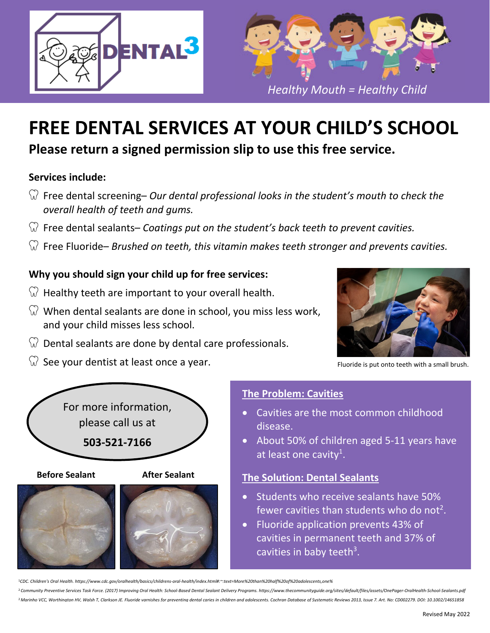



# **FREE DENTAL SERVICES AT YOUR CHILD'S SCHOOL**

**Please return a signed permission slip to use this free service.**

# **Services include:**

- Free dental screening– *Our dental professional looks in the student's mouth to check the overall health of teeth and gums.*
- Free dental sealants– *Coatings put on the student's back teeth to prevent cavities.*
- Free Fluoride– *Brushed on teeth, this vitamin makes teeth stronger and prevents cavities.*

# **Why you should sign your child up for free services:**

- $\mathbb{Q}$  Healthy teeth are important to your overall health.
- $\widehat{W}$  When dental sealants are done in school, you miss less work, and your child misses less school.
- $\mathbb{Q}$  Dental sealants are done by dental care professionals.
- $\widehat{N}$  See your dentist at least once a year.



Fluoride is put onto teeth with a small brush.



**Before Sealant After Sealant**





# **The Problem: Cavities**

- Cavities are the most common childhood disease.
- About 50% of children aged 5-11 years have at least one cavity<sup>1</sup>.

# **The Solution: Dental Sealants**

- **Students who receive sealants have 50%** fewer cavities than students who do not<sup>2</sup>.
- Fluoride application prevents 43% of cavities in permanent teeth and 37% of cavities in baby teeth<sup>3</sup>.

<sup>1</sup>*CDC. Children's Oral Health. https://www.cdc.gov/oralhealth/basics/childrens‐oral‐health/index.html#:~:text=More%20than%20half%20of%20adolescents,one%*

<sup>&</sup>lt;sup>2</sup> Community Preventive Services Task Force. (2017) Improving Oral Health: School-Based Dental Sealant Delivery Programs. https://www.thecommunityguide.org/sites/default/files/assets/OnePager-OralHealth-School-Sealants.pd <sup>2</sup> Marinho VCC, Worthington HV, Walsh T, Clarkson JE. Fluoride varnishes for preventing dental caries in children and adolescents. Cochran Database of Systematic Reviews 2013, Issue 7. Art. No: CD002279. DOI: 10.1002/1465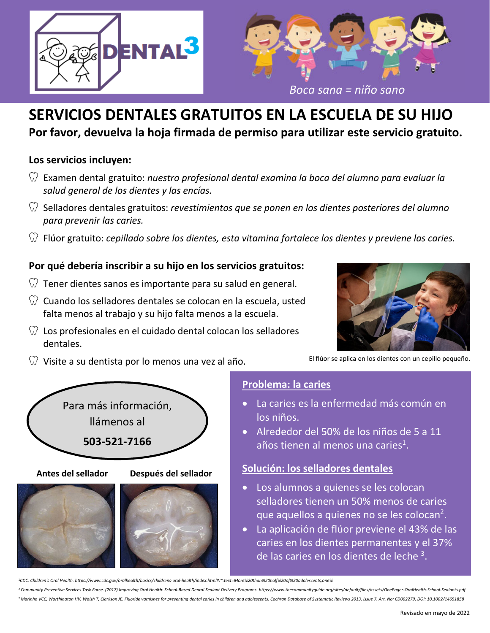



# **SERVICIOS DENTALES GRATUITOS EN LA ESCUELA DE SU HIJO Por favor, devuelva la hoja firmada de permiso para utilizar este servicio gratuito.**

# **Los servicios incluyen:**

- Examen dental gratuito: *nuestro profesional dental examina la boca del alumno para evaluar la salud general de los dientes y las encías.*
- Selladores dentales gratuitos: *revestimientos que se ponen en los dientes posteriores del alumno para prevenir las caries.*
- Flúor gratuito: *cepillado sobre los dientes, esta vitamina fortalece los dientes y previene las caries.*

# **Por qué debería inscribir a su hijo en los servicios gratuitos:**

- $\heartsuit$  Tener dientes sanos es importante para su salud en general.
- $\heartsuit$  Cuando los selladores dentales se colocan en la escuela, usted falta menos al trabajo y su hijo falta menos a la escuela.
- $\heartsuit$  Los profesionales en el cuidado dental colocan los selladores dentales.



El flúor se aplica en los dientes con un cepillo pequeño.

 $\hat{W}$  Visite a su dentista por lo menos una vez al año.



**Antes del sellador Después del sellador**





### **Problema: la caries**

- La caries es la enfermedad más común en los niños.
- Alrededor del 50% de los niños de 5 a 11 años tienen al menos una caries<sup>1</sup>.

### **Solución: los selladores dentales**

- Los alumnos a quienes se les colocan selladores tienen un 50% menos de caries que aquellos a quienes no se les colocan<sup>2</sup>.
- La aplicación de flúor previene el 43% de las caries en los dientes permanentes y el 37% de las caries en los dientes de leche<sup>3</sup>.

<sup>1</sup>*CDC. Children's Oral Health. https://www.cdc.gov/oralhealth/basics/childrens‐oral‐health/index.html#:~:text=More%20than%20half%20of%20adolescents,one%*

<sup>2</sup> Community Preventive Services Task Force, (2017) Improving Oral Health: School-Based Dental Sealant Delivery Programs, https://www.thecommunityguide.org/sites/default/files/assets/OnePager-OralHealth-School-Sealants.pd <sup>2</sup> Marinho VCC. Worthinaton HV. Walsh T. Clarkson JE. Fluoride varnishes for preventina dental caries in children and adolescents. Cochran Database of Systematic Reviews 2013. Issue 7. Art. No: CD002279. DOI: 10.1002/1465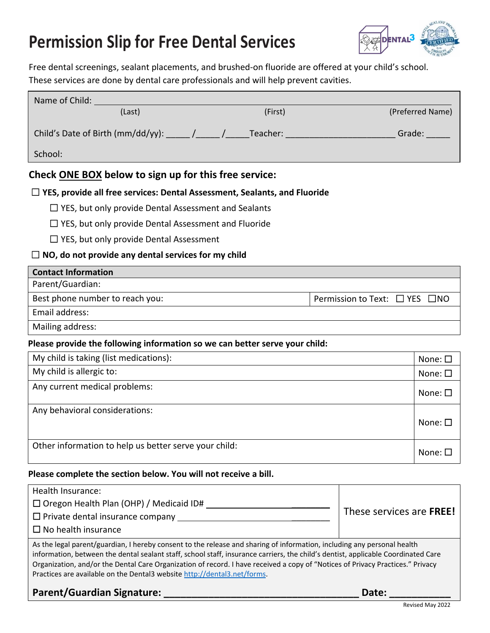# **Permission Slip for Free Dental Services**



Free dental screenings, sealant placements, and brushed-on fluoride are offered at your child's school. These services are done by dental care professionals and will help prevent cavities.

| Name of Child: University                                                                       |         |                                          |  |  |
|-------------------------------------------------------------------------------------------------|---------|------------------------------------------|--|--|
| (Last)                                                                                          | (First) | (Preferred Name)                         |  |  |
| Child's Date of Birth (mm/dd/yy): $\frac{1}{\sqrt{1-\frac{1}{2}}}$ Teacher: ___________________ |         | Grade:                                   |  |  |
| School:                                                                                         |         |                                          |  |  |
| Check ONE BOX below to sign up for this free service:                                           |         |                                          |  |  |
| $\Box$ YES, provide all free services: Dental Assessment, Sealants, and Fluoride                |         |                                          |  |  |
| $\Box$ YES, but only provide Dental Assessment and Sealants                                     |         |                                          |  |  |
| $\Box$ YES, but only provide Dental Assessment and Fluoride                                     |         |                                          |  |  |
| $\Box$ YES, but only provide Dental Assessment                                                  |         |                                          |  |  |
| $\Box$ NO, do not provide any dental services for my child                                      |         |                                          |  |  |
| <b>Contact Information</b>                                                                      |         |                                          |  |  |
| Parent/Guardian:                                                                                |         |                                          |  |  |
| Best phone number to reach you:                                                                 |         | Permission to Text: $\Box$ YES $\Box$ NO |  |  |
| Email address:                                                                                  |         |                                          |  |  |
| Mailing address:                                                                                |         |                                          |  |  |
| Please provide the following information so we can better serve your child:                     |         |                                          |  |  |
| My child is taking (list medications):                                                          |         | None: $\square$                          |  |  |
| My child is allergic to:                                                                        |         | None: $\square$                          |  |  |
| Any current medical problems:                                                                   |         | None: $\square$                          |  |  |
| Any behavioral considerations:                                                                  |         | None: $\square$                          |  |  |
| Other information to help us better serve your child:                                           |         | None: $\square$                          |  |  |

#### **Please complete the section below. You will not receive a bill.**

| Health Insurance:                                                                                                                                                                                                                                            |                          |  |
|--------------------------------------------------------------------------------------------------------------------------------------------------------------------------------------------------------------------------------------------------------------|--------------------------|--|
| $\Box$ Oregon Health Plan (OHP) / Medicaid ID#                                                                                                                                                                                                               | These services are FREE! |  |
| $\Box$ Private dental insurance company                                                                                                                                                                                                                      |                          |  |
| $\Box$ No health insurance                                                                                                                                                                                                                                   |                          |  |
| As the legal parent/guardian, I hereby consent to the release and sharing of information, including any personal health<br>information, between the dental sealant staff, school staff, insurance carriers, the child's dentist, annlisable Coordinated Care |                          |  |

tion, between the dental sealant staff, school staff, insurance carriers, the child's dentist, applicable Coordinated Care Organization, and/or the Dental Care Organization of record. I have received a copy of "Notices of Privacy Practices." Privacy Practices are available on the Dental3 website http://dental3.net/forms.

**Parent/Guardian Signature: \_\_\_\_\_\_\_\_\_\_\_\_\_\_\_\_\_\_\_\_\_\_\_\_\_\_\_\_\_\_\_\_\_\_\_ Date: \_\_\_\_\_\_\_\_\_\_\_**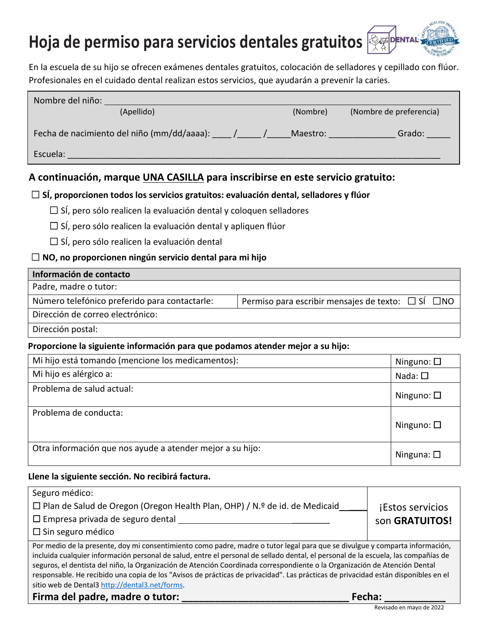# **Hoja de permiso para servicios dentales gratuitos**

En la escuela de su hijo se ofrecen exámenes dentales gratuitos, colocación de selladores y cepillado con flúor. Profesionales en el cuidado dental realizan estos servicios, que ayudarán a prevenir la caries.

| Nombre del niño:                           |          |                         |
|--------------------------------------------|----------|-------------------------|
| (Apellido)                                 | (Nombre) | (Nombre de preferencia) |
|                                            |          |                         |
| Fecha de nacimiento del niño (mm/dd/aaaa): | Maestro: | Grado:                  |
|                                            |          |                         |
| Escuela:                                   |          |                         |

### **A continuación, marque UNA CASILLA para inscribirse en este servicio gratuito:**

### ☐ **SÍ, proporcionen todos los servicios gratuitos: evaluación dental, selladores y flúor**

 $\Box$  SÍ, pero sólo realicen la evaluación dental y coloquen selladores

 $\square$  SÍ, pero sólo realicen la evaluación dental y apliquen flúor

☐ SÍ, pero sólo realicen la evaluación dental

### ☐ **NO, no proporcionen ningún servicio dental para mi hijo**

### **Información de contacto**

Padre, madre o tutor:

Número telefónico preferido para contactarle: | Permiso para escribir mensajes de texto: □ SÍ □NO

Dirección de correo electrónico:

Dirección postal:

### **Proporcione la siguiente información para que podamos atender mejor a su hijo:**

| Mi hijo está tomando (mencione los medicamentos):         | Ninguno: $\square$ |
|-----------------------------------------------------------|--------------------|
| Mi hijo es alérgico a:                                    | Nada: $\square$    |
| Problema de salud actual:                                 | Ninguno: $\square$ |
| Problema de conducta:                                     | Ninguno: $\square$ |
| Otra información que nos ayude a atender mejor a su hijo: | Ninguna: $\square$ |

### **Llene la siguiente sección. No recibirá factura.**

| Seguro médico:                                                                                                                                                                                                                                                                                                                                                                                                                                                                                                                                                                           |                         |  |
|------------------------------------------------------------------------------------------------------------------------------------------------------------------------------------------------------------------------------------------------------------------------------------------------------------------------------------------------------------------------------------------------------------------------------------------------------------------------------------------------------------------------------------------------------------------------------------------|-------------------------|--|
| □ Plan de Salud de Oregon (Oregon Health Plan, OHP) / N.º de id. de Medicaid                                                                                                                                                                                                                                                                                                                                                                                                                                                                                                             | <b>iEstos servicios</b> |  |
| $\Box$ Empresa privada de seguro dental                                                                                                                                                                                                                                                                                                                                                                                                                                                                                                                                                  | son GRATUITOS!          |  |
| $\Box$ Sin seguro médico                                                                                                                                                                                                                                                                                                                                                                                                                                                                                                                                                                 |                         |  |
| Por medio de la presente, doy mi consentimiento como padre, madre o tutor legal para que se divulgue y comparta información,<br>incluida cualquier información personal de salud, entre el personal de sellado dental, el personal de la escuela, las compañías de<br>seguros, el dentista del niño, la Organización de Atención Coordinada correspondiente o la Organización de Atención Dental<br>responsable. He recibido una copia de los "Avisos de prácticas de privacidad". Las prácticas de privacidad están disponibles en el<br>sitio web de Dental3 http://dental3.net/forms. |                         |  |
|                                                                                                                                                                                                                                                                                                                                                                                                                                                                                                                                                                                          |                         |  |

|  | Firma del padre, madre o tutor: | Fecha: |  |
|--|---------------------------------|--------|--|
|--|---------------------------------|--------|--|

**EDENT!**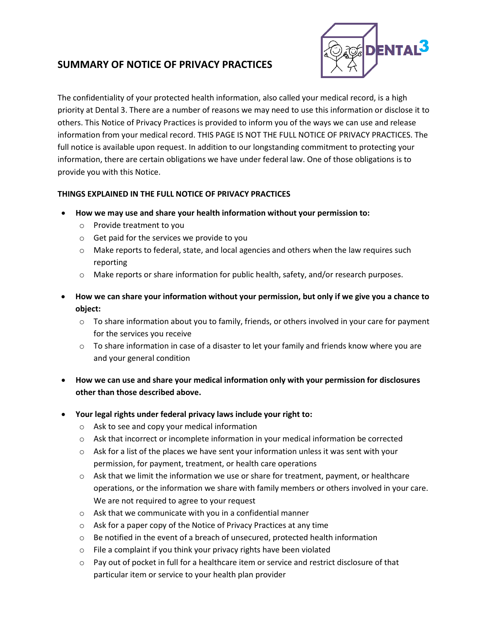## **SUMMARY OF NOTICE OF PRIVACY PRACTICES**



The confidentiality of your protected health information, also called your medical record, is a high priority at Dental 3. There are a number of reasons we may need to use this information or disclose it to others. This Notice of Privacy Practices is provided to inform you of the ways we can use and release information from your medical record. THIS PAGE IS NOT THE FULL NOTICE OF PRIVACY PRACTICES. The full notice is available upon request. In addition to our longstanding commitment to protecting your information, there are certain obligations we have under federal law. One of those obligations is to provide you with this Notice.

### **THINGS EXPLAINED IN THE FULL NOTICE OF PRIVACY PRACTICES**

- **How we may use and share your health information without your permission to:**
	- o Provide treatment to you
	- o Get paid for the services we provide to you
	- $\circ$  Make reports to federal, state, and local agencies and others when the law requires such reporting
	- o Make reports or share information for public health, safety, and/or research purposes.
- **How we can share your information without your permission, but only if we give you a chance to object:**
	- $\circ$  To share information about you to family, friends, or others involved in your care for payment for the services you receive
	- $\circ$  To share information in case of a disaster to let your family and friends know where you are and your general condition
- **How we can use and share your medical information only with your permission for disclosures other than those described above.**
- **Your legal rights under federal privacy laws include your right to:**
	- o Ask to see and copy your medical information
	- o Ask that incorrect or incomplete information in your medical information be corrected
	- $\circ$  Ask for a list of the places we have sent your information unless it was sent with your permission, for payment, treatment, or health care operations
	- $\circ$  Ask that we limit the information we use or share for treatment, payment, or healthcare operations, or the information we share with family members or others involved in your care. We are not required to agree to your request
	- o Ask that we communicate with you in a confidential manner
	- o Ask for a paper copy of the Notice of Privacy Practices at any time
	- o Be notified in the event of a breach of unsecured, protected health information
	- o File a complaint if you think your privacy rights have been violated
	- o Pay out of pocket in full for a healthcare item or service and restrict disclosure of that particular item or service to your health plan provider